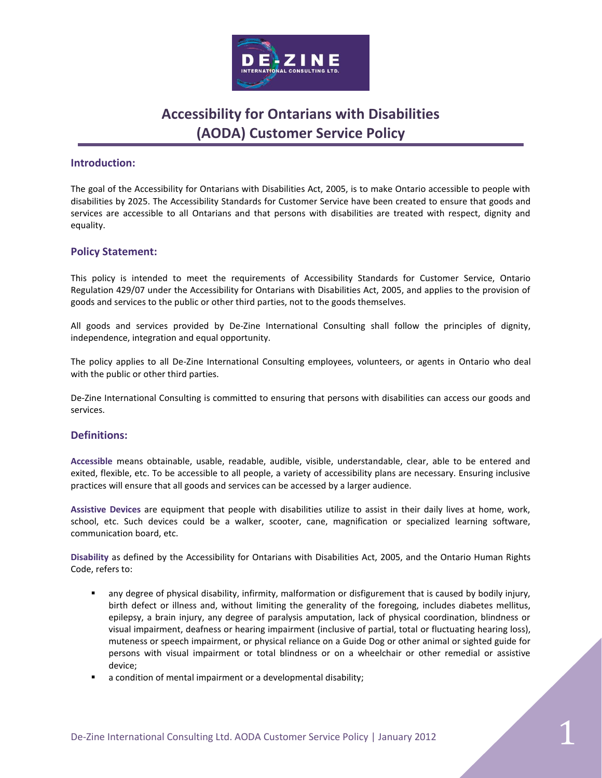

### **Introduction:**

The goal of the Accessibility for Ontarians with Disabilities Act, 2005, is to make Ontario accessible to people with disabilities by 2025. The Accessibility Standards for Customer Service have been created to ensure that goods and services are accessible to all Ontarians and that persons with disabilities are treated with respect, dignity and equality.

### **Policy Statement:**

This policy is intended to meet the requirements of Accessibility Standards for Customer Service, Ontario Regulation 429/07 under the Accessibility for Ontarians with Disabilities Act, 2005, and applies to the provision of goods and services to the public or other third parties, not to the goods themselves.

All goods and services provided by De-Zine International Consulting shall follow the principles of dignity, independence, integration and equal opportunity.

The policy applies to all De-Zine International Consulting employees, volunteers, or agents in Ontario who deal with the public or other third parties.

De-Zine International Consulting is committed to ensuring that persons with disabilities can access our goods and services.

#### **Definitions:**

**Accessible** means obtainable, usable, readable, audible, visible, understandable, clear, able to be entered and exited, flexible, etc. To be accessible to all people, a variety of accessibility plans are necessary. Ensuring inclusive practices will ensure that all goods and services can be accessed by a larger audience.

**Assistive Devices** are equipment that people with disabilities utilize to assist in their daily lives at home, work, school, etc. Such devices could be a walker, scooter, cane, magnification or specialized learning software, communication board, etc.

**Disability** as defined by the Accessibility for Ontarians with Disabilities Act, 2005, and the Ontario Human Rights Code, refers to:

- any degree of physical disability, infirmity, malformation or disfigurement that is caused by bodily injury, birth defect or illness and, without limiting the generality of the foregoing, includes diabetes mellitus, epilepsy, a brain injury, any degree of paralysis amputation, lack of physical coordination, blindness or visual impairment, deafness or hearing impairment (inclusive of partial, total or fluctuating hearing loss), muteness or speech impairment, or physical reliance on a Guide Dog or other animal or sighted guide for persons with visual impairment or total blindness or on a wheelchair or other remedial or assistive device;
- a condition of mental impairment or a developmental disability;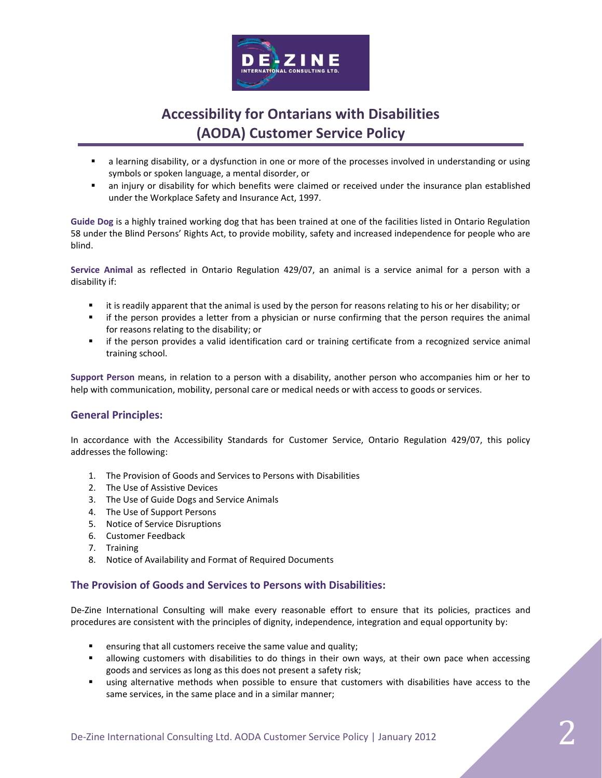

- a learning disability, or a dysfunction in one or more of the processes involved in understanding or using symbols or spoken language, a mental disorder, or
- an injury or disability for which benefits were claimed or received under the insurance plan established under the Workplace Safety and Insurance Act, 1997.

**Guide Dog** is a highly trained working dog that has been trained at one of the facilities listed in Ontario Regulation 58 under the Blind Persons' Rights Act, to provide mobility, safety and increased independence for people who are blind.

**Service Animal** as reflected in Ontario Regulation 429/07, an animal is a service animal for a person with a disability if:

- it is readily apparent that the animal is used by the person for reasons relating to his or her disability; or
- **F** if the person provides a letter from a physician or nurse confirming that the person requires the animal for reasons relating to the disability; or
- if the person provides a valid identification card or training certificate from a recognized service animal training school.

**Support Person** means, in relation to a person with a disability, another person who accompanies him or her to help with communication, mobility, personal care or medical needs or with access to goods or services.

### **General Principles:**

In accordance with the Accessibility Standards for Customer Service, Ontario Regulation 429/07, this policy addresses the following:

- 1. The Provision of Goods and Services to Persons with Disabilities
- 2. The Use of Assistive Devices
- 3. The Use of Guide Dogs and Service Animals
- 4. The Use of Support Persons
- 5. Notice of Service Disruptions
- 6. Customer Feedback
- 7. Training
- 8. Notice of Availability and Format of Required Documents

#### **The Provision of Goods and Services to Persons with Disabilities:**

De-Zine International Consulting will make every reasonable effort to ensure that its policies, practices and procedures are consistent with the principles of dignity, independence, integration and equal opportunity by:

- ensuring that all customers receive the same value and quality;
- **EXECT** allowing customers with disabilities to do things in their own ways, at their own pace when accessing goods and services as long as this does not present a safety risk;
- using alternative methods when possible to ensure that customers with disabilities have access to the same services, in the same place and in a similar manner;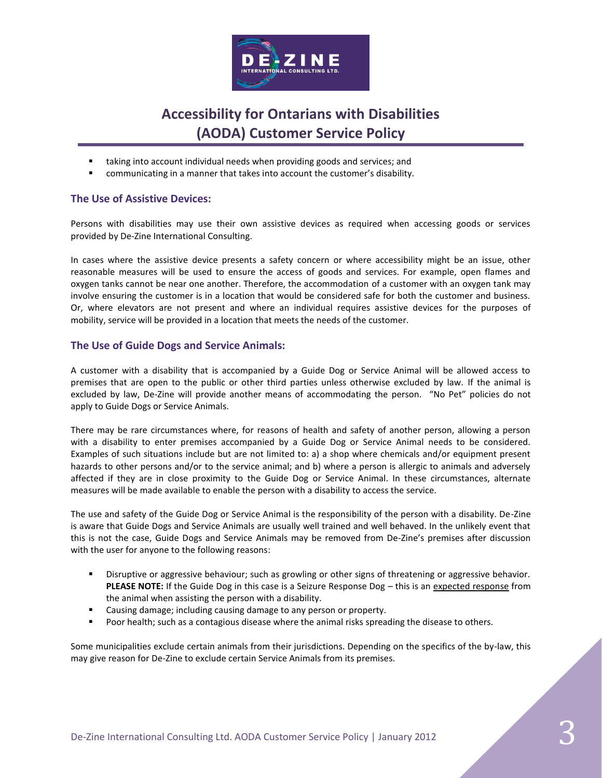

- taking into account individual needs when providing goods and services; and
- communicating in a manner that takes into account the customer's disability.

### **The Use of Assistive Devices:**

Persons with disabilities may use their own assistive devices as required when accessing goods or services provided by De-Zine International Consulting.

In cases where the assistive device presents a safety concern or where accessibility might be an issue, other reasonable measures will be used to ensure the access of goods and services. For example, open flames and oxygen tanks cannot be near one another. Therefore, the accommodation of a customer with an oxygen tank may involve ensuring the customer is in a location that would be considered safe for both the customer and business. Or, where elevators are not present and where an individual requires assistive devices for the purposes of mobility, service will be provided in a location that meets the needs of the customer.

### **The Use of Guide Dogs and Service Animals:**

A customer with a disability that is accompanied by a Guide Dog or Service Animal will be allowed access to premises that are open to the public or other third parties unless otherwise excluded by law. If the animal is excluded by law, De-Zine will provide another means of accommodating the person. "No Pet" policies do not apply to Guide Dogs or Service Animals.

There may be rare circumstances where, for reasons of health and safety of another person, allowing a person with a disability to enter premises accompanied by a Guide Dog or Service Animal needs to be considered. Examples of such situations include but are not limited to: a) a shop where chemicals and/or equipment present hazards to other persons and/or to the service animal; and b) where a person is allergic to animals and adversely affected if they are in close proximity to the Guide Dog or Service Animal. In these circumstances, alternate measures will be made available to enable the person with a disability to access the service.

The use and safety of the Guide Dog or Service Animal is the responsibility of the person with a disability. De-Zine is aware that Guide Dogs and Service Animals are usually well trained and well behaved. In the unlikely event that this is not the case, Guide Dogs and Service Animals may be removed from De-Zine's premises after discussion with the user for anyone to the following reasons:

- Disruptive or aggressive behaviour; such as growling or other signs of threatening or aggressive behavior. **PLEASE NOTE:** If the Guide Dog in this case is a Seizure Response Dog - this is an expected response from the animal when assisting the person with a disability.
- Causing damage; including causing damage to any person or property.
- Poor health; such as a contagious disease where the animal risks spreading the disease to others.

Some municipalities exclude certain animals from their jurisdictions. Depending on the specifics of the by-law, this may give reason for De-Zine to exclude certain Service Animals from its premises.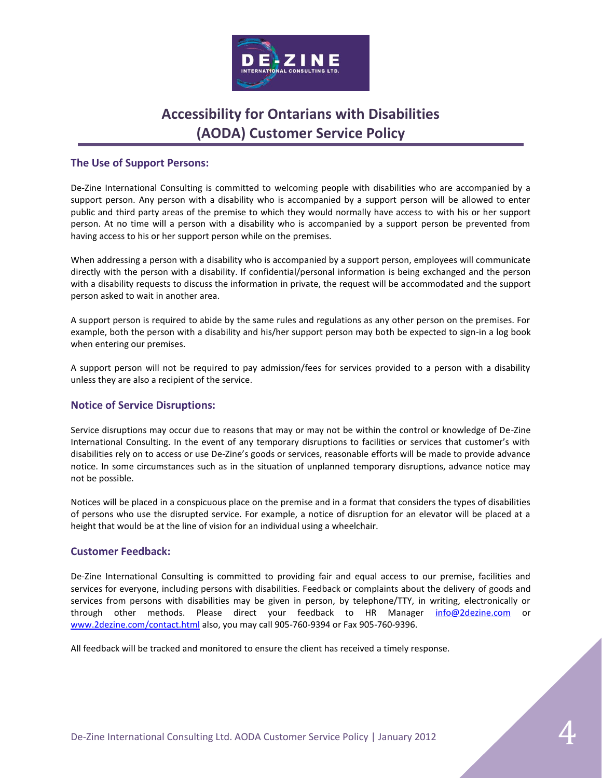

### **The Use of Support Persons:**

De-Zine International Consulting is committed to welcoming people with disabilities who are accompanied by a support person. Any person with a disability who is accompanied by a support person will be allowed to enter public and third party areas of the premise to which they would normally have access to with his or her support person. At no time will a person with a disability who is accompanied by a support person be prevented from having access to his or her support person while on the premises.

When addressing a person with a disability who is accompanied by a support person, employees will communicate directly with the person with a disability. If confidential/personal information is being exchanged and the person with a disability requests to discuss the information in private, the request will be accommodated and the support person asked to wait in another area.

A support person is required to abide by the same rules and regulations as any other person on the premises. For example, both the person with a disability and his/her support person may both be expected to sign-in a log book when entering our premises.

A support person will not be required to pay admission/fees for services provided to a person with a disability unless they are also a recipient of the service.

### **Notice of Service Disruptions:**

Service disruptions may occur due to reasons that may or may not be within the control or knowledge of De-Zine International Consulting. In the event of any temporary disruptions to facilities or services that customer's with disabilities rely on to access or use De-Zine's goods or services, reasonable efforts will be made to provide advance notice. In some circumstances such as in the situation of unplanned temporary disruptions, advance notice may not be possible.

Notices will be placed in a conspicuous place on the premise and in a format that considers the types of disabilities of persons who use the disrupted service. For example, a notice of disruption for an elevator will be placed at a height that would be at the line of vision for an individual using a wheelchair.

#### **Customer Feedback:**

De-Zine International Consulting is committed to providing fair and equal access to our premise, facilities and services for everyone, including persons with disabilities. Feedback or complaints about the delivery of goods and services from persons with disabilities may be given in person, by telephone/TTY, in writing, electronically or through other methods. Please direct your feedback to HR Manager [info@2dezine.com](mailto:info@2dezine.com) or [www.2dezine.com/contact.html](http://www.2dezine.com/contact.html) also, you may call 905-760-9394 or Fax 905-760-9396.

All feedback will be tracked and monitored to ensure the client has received a timely response.